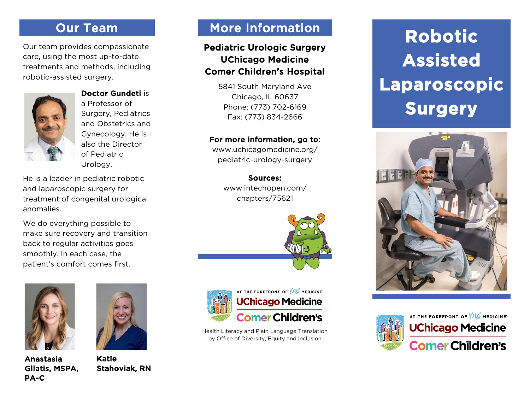# Our Team

Our team provides compassionate care, using the most up-to-date treatments and methods, including robotic-assisted surgery.



Doctor Gundeti is a Professor of Surgery, Pediatrics and Obstetrics and Gynecology. He is

also the Director of Pediatric Urology.

He is a leader in pediatric robotic and laparoscopic surgery for treatment of congenital urological anomalies.

We do everything possible to make sure recovery and transition back to regular activities goes smoothly. In each case, the patient's comfort comes first.



Anastasia Gliatis, MSPA, PA-C



Katie Stahoviak, RN

# More Information

## Pediatric Urologic Surgery UChicago Medicine Comer Children's Hospital

5841 South Maryland Ave Chicago, IL 60637 Phone: (773) 702-6169 Fax: (773) 834-2666

#### For more information, go to:

www.uchicagomedicine.org/ pediatric-urology-surgery

Sources: www.intechopen.com/ chapters/75621





Health Literacy and Plain Language Translation by Office of Diversity, Equity and Inclusion

# **Robotic Assisted Laparoscopic Surgery**